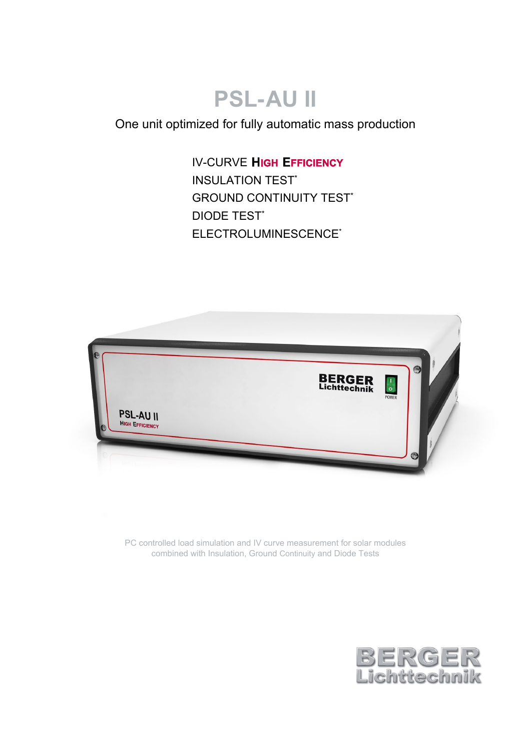# **PSL-AU II**

One unit optimized for fully automatic mass production

**IV-CURVE HIGH EFFICIENCY** INSULATION TEST\* **GROUND CONTINUITY TEST\*** DIODE TEST\* ELECTROLUMINESCENCE\*



PC controlled load simulation and IV curve measurement for solar modules combined with Insulation, Ground Continuity and Diode Tests